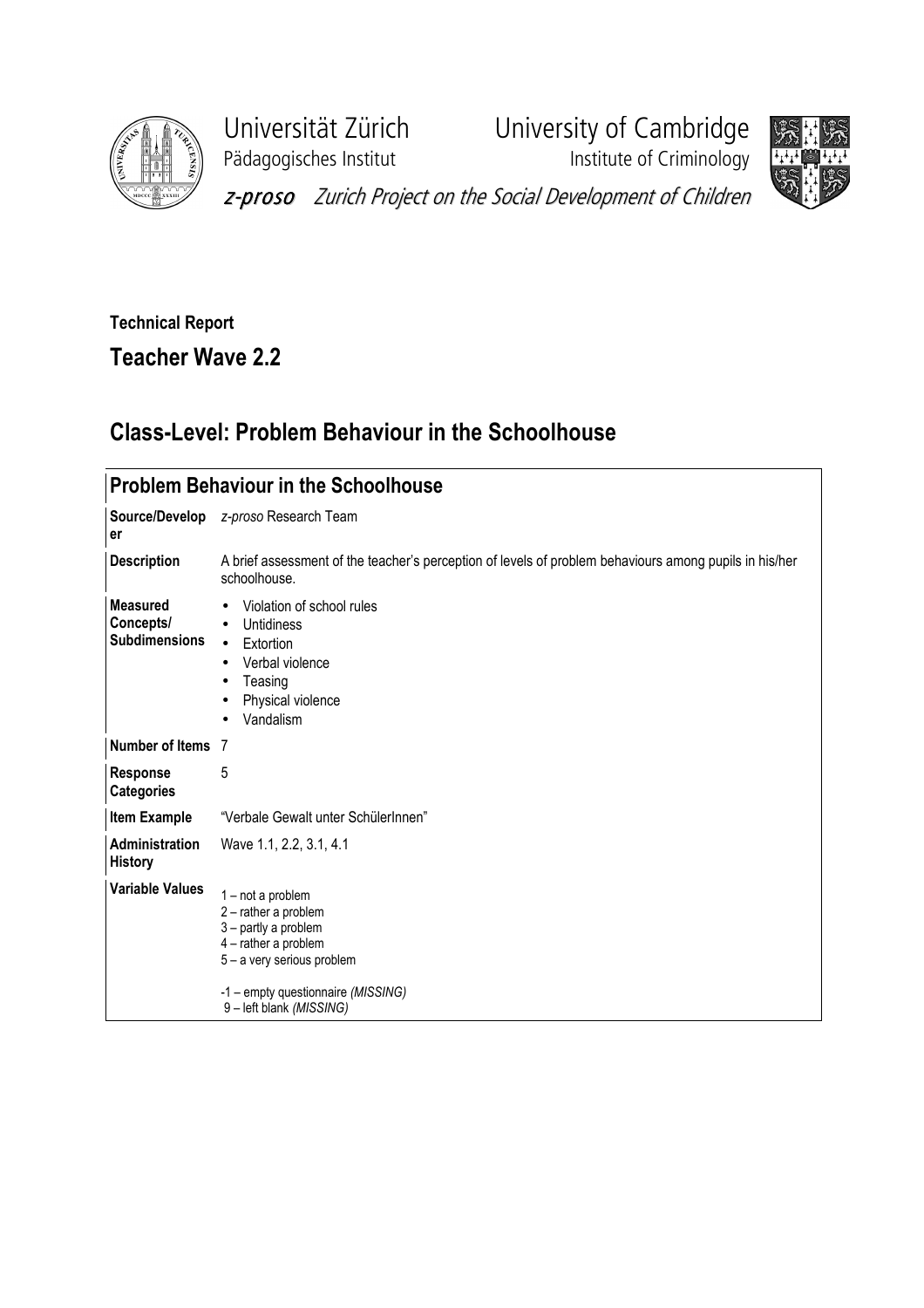

Pädagogisches Institut **Institute of Criminology** 

Universität Zürich University of Cambridge



z-proso Zurich Project on the Social Development of Children

## Technical Report

Teacher Wave 2.2

## Class-Level: Problem Behaviour in the Schoolhouse

|                                                      | <b>Problem Behaviour in the Schoolhouse</b>                                                                                                                                           |
|------------------------------------------------------|---------------------------------------------------------------------------------------------------------------------------------------------------------------------------------------|
| er                                                   | Source/Develop z-proso Research Team                                                                                                                                                  |
| <b>Description</b>                                   | A brief assessment of the teacher's perception of levels of problem behaviours among pupils in his/her<br>schoolhouse.                                                                |
| <b>Measured</b><br>Concepts/<br><b>Subdimensions</b> | Violation of school rules<br><b>Untidiness</b><br>$\bullet$<br>Extortion<br>$\bullet$<br>Verbal violence<br>$\bullet$<br>Teasing<br>Physical violence<br>$\bullet$<br>Vandalism       |
| Number of Items 7                                    |                                                                                                                                                                                       |
| <b>Response</b><br><b>Categories</b>                 | 5                                                                                                                                                                                     |
| <b>Item Example</b>                                  | "Verbale Gewalt unter SchülerInnen"                                                                                                                                                   |
| Administration<br><b>History</b>                     | Wave 1.1, 2.2, 3.1, 4.1                                                                                                                                                               |
| <b>Variable Values</b>                               | 1-not a problem<br>2 - rather a problem<br>3 - partly a problem<br>4 - rather a problem<br>5 - a very serious problem<br>-1 – empty questionnaire (MISSING)<br>9-left blank (MISSING) |